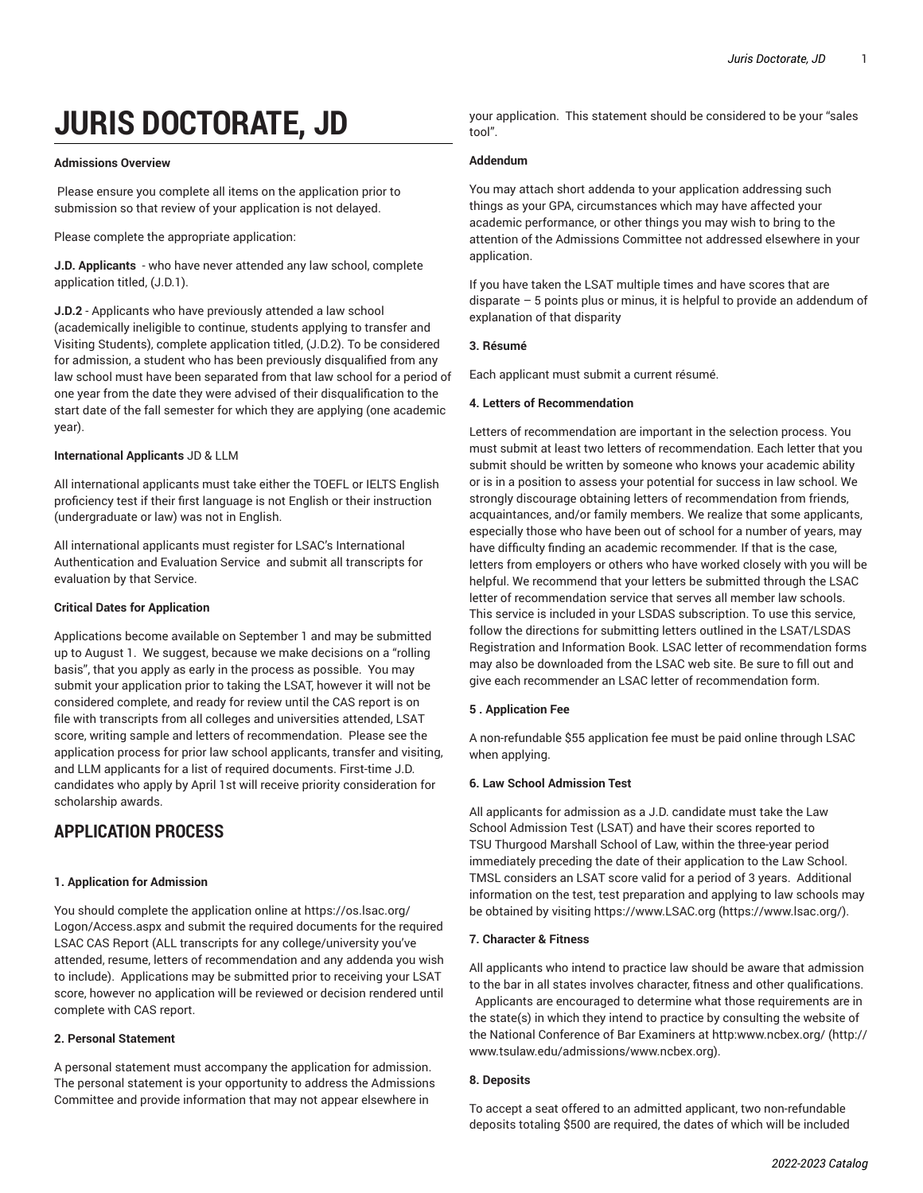# **JURIS DOCTORATE, JD**

#### **Admissions Overview**

Please ensure you complete all items on the application prior to submission so that review of your application is not delayed.

Please complete the appropriate application:

**J.D. Applicants** - who have never attended any law school, complete application titled, (J.D.1).

**J.D.2** - Applicants who have previously attended a law school (academically ineligible to continue, students applying to transfer and Visiting Students), complete application titled, (J.D.2). To be considered for admission, a student who has been previously disqualified from any law school must have been separated from that law school for a period of one year from the date they were advised of their disqualification to the start date of the fall semester for which they are applying (one academic year).

#### **International Applicants** JD & LLM

All international applicants must take either the TOEFL or IELTS English proficiency test if their first language is not English or their instruction (undergraduate or law) was not in English.

All international applicants must register for LSAC's International Authentication and Evaluation Service and submit all transcripts for evaluation by that Service.

#### **Critical Dates for Application**

Applications become available on September 1 and may be submitted up to August 1. We suggest, because we make decisions on a "rolling basis", that you apply as early in the process as possible. You may submit your application prior to taking the LSAT, however it will not be considered complete, and ready for review until the CAS report is on file with transcripts from all colleges and universities attended, LSAT score, writing sample and letters of recommendation. Please see the application process for prior law school applicants, transfer and visiting, and LLM applicants for a list of required documents. First-time J.D. candidates who apply by April 1st will receive priority consideration for scholarship awards.

## **APPLICATION PROCESS**

#### **1. Application for Admission**

You should complete the application online at [https://os.lsac.org/](https://os.lsac.org/Logon/Access.aspx) [Logon/Access.aspx](https://os.lsac.org/Logon/Access.aspx) and submit the required documents for the required LSAC CAS Report (ALL transcripts for any college/university you've attended, resume, letters of recommendation and any addenda you wish to include). Applications may be submitted prior to receiving your LSAT score, however no application will be reviewed or decision rendered until complete with CAS report.

#### **2. Personal Statement**

A personal statement must accompany the application for admission. The personal statement is your opportunity to address the Admissions Committee and provide information that may not appear elsewhere in

your application. This statement should be considered to be your "sales tool".

#### **Addendum**

You may attach short addenda to your application addressing such things as your GPA, circumstances which may have affected your academic performance, or other things you may wish to bring to the attention of the Admissions Committee not addressed elsewhere in your application.

If you have taken the LSAT multiple times and have scores that are disparate – 5 points plus or minus, it is helpful to provide an addendum of explanation of that disparity

#### **3. Résumé**

Each applicant must submit a current résumé.

#### **4. Letters of Recommendation**

Letters of recommendation are important in the selection process. You must submit at least two letters of recommendation. Each letter that you submit should be written by someone who knows your academic ability or is in a position to assess your potential for success in law school. We strongly discourage obtaining letters of recommendation from friends, acquaintances, and/or family members. We realize that some applicants, especially those who have been out of school for a number of years, may have difficulty finding an academic recommender. If that is the case, letters from employers or others who have worked closely with you will be helpful. We recommend that your letters be submitted through the LSAC letter of recommendation service that serves all member law schools. This service is included in your LSDAS subscription. To use this service, follow the directions for submitting letters outlined in the LSAT/LSDAS Registration and Information Book. LSAC letter of recommendation forms may also be downloaded from the LSAC web site. Be sure to fill out and give each recommender an LSAC letter of recommendation form.

#### **5 . Application Fee**

A non-refundable \$55 application fee must be paid online through LSAC when applying.

#### **6. Law School Admission Test**

All applicants for admission as a J.D. candidate must take the Law School Admission Test (LSAT) and have their scores reported to TSU Thurgood Marshall School of Law, within the three-year period immediately preceding the date of their application to the Law School. TMSL considers an LSAT score valid for a period of 3 years. Additional information on the test, test preparation and applying to law schools may be obtained by visiting [https://www.LSAC.org](https://www.lsac.org/) ([https://www.lsac.org/\)](https://www.lsac.org/).

#### **7. Character & Fitness**

All applicants who intend to practice law should be aware that admission to the bar in all states involves character, fitness and other qualifications. Applicants are encouraged to determine what those requirements are in the state(s) in which they intend to practice by consulting the website of the National Conference of Bar Examiners at [http:www.ncbex.org/ \(http://](http://www.tsulaw.edu/admissions/www.ncbex.org) [www.tsulaw.edu/admissions/www.ncbex.org\)](http://www.tsulaw.edu/admissions/www.ncbex.org).

#### **8. Deposits**

To accept a seat offered to an admitted applicant, two non-refundable deposits totaling \$500 are required, the dates of which will be included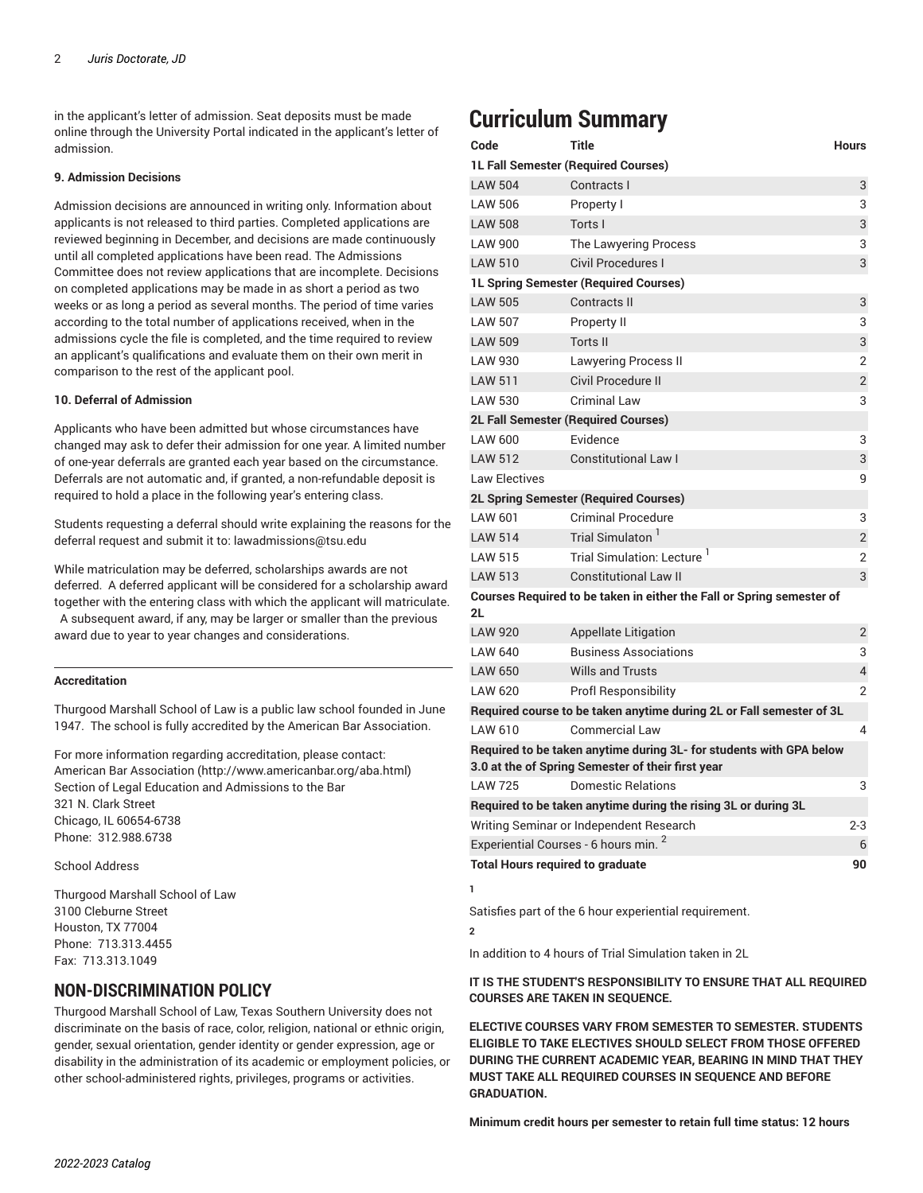in the applicant's letter of admission. Seat deposits must be made online through the University Portal indicated in the applicant's letter of admission.

#### **9. Admission Decisions**

Admission decisions are announced in writing only. Information about applicants is not released to third parties. Completed applications are reviewed beginning in December, and decisions are made continuously until all completed applications have been read. The Admissions Committee does not review applications that are incomplete. Decisions on completed applications may be made in as short a period as two weeks or as long a period as several months. The period of time varies according to the total number of applications received, when in the admissions cycle the file is completed, and the time required to review an applicant's qualifications and evaluate them on their own merit in comparison to the rest of the applicant pool.

#### **10. Deferral of Admission**

Applicants who have been admitted but whose circumstances have changed may ask to defer their admission for one year. A limited number of one-year deferrals are granted each year based on the circumstance. Deferrals are not automatic and, if granted, a non-refundable deposit is required to hold a place in the following year's entering class.

Students requesting a deferral should write explaining the reasons for the deferral request and submit it to: [lawadmissions@tsu.edu](mailto:lawadmissions@tsu.edu)

While matriculation may be deferred, scholarships awards are not deferred. A deferred applicant will be considered for a scholarship award together with the entering class with which the applicant will matriculate. A subsequent award, if any, may be larger or smaller than the previous award due to year to year changes and considerations.

#### **Accreditation**

Thurgood Marshall School of Law is a public law school founded in June 1947. The school is fully accredited by the American Bar Association.

For more information regarding accreditation, please contact: [American Bar Association](http://www.americanbar.org/aba.html) (<http://www.americanbar.org/aba.html>) Section of Legal Education and Admissions to the Bar 321 N. Clark Street Chicago, IL 60654-6738 Phone: 312.988.6738

#### School Address

Thurgood Marshall School of Law 3100 Cleburne Street Houston, TX 77004 Phone: 713.313.4455 Fax: 713.313.1049

### **NON-DISCRIMINATION POLICY**

Thurgood Marshall School of Law, Texas Southern University does not discriminate on the basis of race, color, religion, national or ethnic origin, gender, sexual orientation, gender identity or gender expression, age or disability in the administration of its academic or employment policies, or other school-administered rights, privileges, programs or activities.

# **Curriculum Summary**

| Code                                                                                                                     | <b>Title</b>                                                         | <b>Hours</b>             |
|--------------------------------------------------------------------------------------------------------------------------|----------------------------------------------------------------------|--------------------------|
| <b>1L Fall Semester (Required Courses)</b>                                                                               |                                                                      |                          |
| <b>LAW 504</b>                                                                                                           | Contracts I                                                          | 3                        |
| <b>LAW 506</b>                                                                                                           | Property I                                                           | 3                        |
| <b>LAW 508</b>                                                                                                           | Torts I                                                              | 3                        |
| <b>LAW 900</b>                                                                                                           | The Lawyering Process                                                | 3                        |
| <b>LAW 510</b>                                                                                                           | <b>Civil Procedures I</b>                                            | 3                        |
| <b>1L Spring Semester (Required Courses)</b>                                                                             |                                                                      |                          |
| <b>LAW 505</b>                                                                                                           | <b>Contracts II</b>                                                  | 3                        |
| <b>LAW 507</b>                                                                                                           | Property II                                                          | 3                        |
| <b>LAW 509</b>                                                                                                           | <b>Torts II</b>                                                      | 3                        |
| <b>LAW 930</b>                                                                                                           | <b>Lawyering Process II</b>                                          | $\overline{2}$           |
| <b>LAW 511</b>                                                                                                           | Civil Procedure II                                                   | $\overline{2}$           |
| <b>LAW 530</b>                                                                                                           | <b>Criminal Law</b>                                                  | 3                        |
| <b>2L Fall Semester (Required Courses)</b>                                                                               |                                                                      |                          |
| <b>LAW 600</b>                                                                                                           | Evidence                                                             | 3                        |
| <b>LAW 512</b>                                                                                                           | <b>Constitutional Law I</b>                                          | 3                        |
| <b>Law Electives</b>                                                                                                     |                                                                      | 9                        |
|                                                                                                                          | <b>2L Spring Semester (Required Courses)</b>                         |                          |
| LAW 601                                                                                                                  | <b>Criminal Procedure</b>                                            | 3                        |
| <b>LAW 514</b>                                                                                                           | Trial Simulaton <sup>1</sup>                                         | $\overline{2}$           |
| <b>LAW 515</b>                                                                                                           | Trial Simulation: Lecture <sup>1</sup>                               | $\overline{2}$           |
| <b>LAW 513</b>                                                                                                           | <b>Constitutional Law II</b>                                         | 3                        |
| Courses Required to be taken in either the Fall or Spring semester of<br>2L                                              |                                                                      |                          |
| <b>LAW 920</b>                                                                                                           | <b>Appellate Litigation</b>                                          | 2                        |
| LAW 640                                                                                                                  | <b>Business Associations</b>                                         | 3                        |
| <b>LAW 650</b>                                                                                                           | <b>Wills and Trusts</b>                                              | $\overline{\mathcal{L}}$ |
| <b>LAW 620</b>                                                                                                           | <b>Profl Responsibility</b>                                          | $\overline{2}$           |
|                                                                                                                          | Required course to be taken anytime during 2L or Fall semester of 3L |                          |
| LAW 610                                                                                                                  | Commercial Law                                                       | 4                        |
| Required to be taken anytime during 3L- for students with GPA below<br>3.0 at the of Spring Semester of their first year |                                                                      |                          |
| LAW 725                                                                                                                  | Domestic Relations                                                   | 3                        |
|                                                                                                                          | Required to be taken anytime during the rising 3L or during 3L       |                          |
|                                                                                                                          | Writing Seminar or Independent Research                              | $2 - 3$                  |
| Experiential Courses - 6 hours min. <sup>2</sup>                                                                         |                                                                      |                          |
| <b>Total Hours required to graduate</b><br>90                                                                            |                                                                      |                          |

Satisfies part of the 6 hour experiential requirement.

#### **2**

**1**

In addition to 4 hours of Trial Simulation taken in 2L

#### **IT IS THE STUDENT'S RESPONSIBILITY TO ENSURE THAT ALL REQUIRED COURSES ARE TAKEN IN SEQUENCE.**

**ELECTIVE COURSES VARY FROM SEMESTER TO SEMESTER. STUDENTS ELIGIBLE TO TAKE ELECTIVES SHOULD SELECT FROM THOSE OFFERED DURING THE CURRENT ACADEMIC YEAR, BEARING IN MIND THAT THEY MUST TAKE ALL REQUIRED COURSES IN SEQUENCE AND BEFORE GRADUATION.**

**Minimum credit hours per semester to retain full time status: 12 hours**